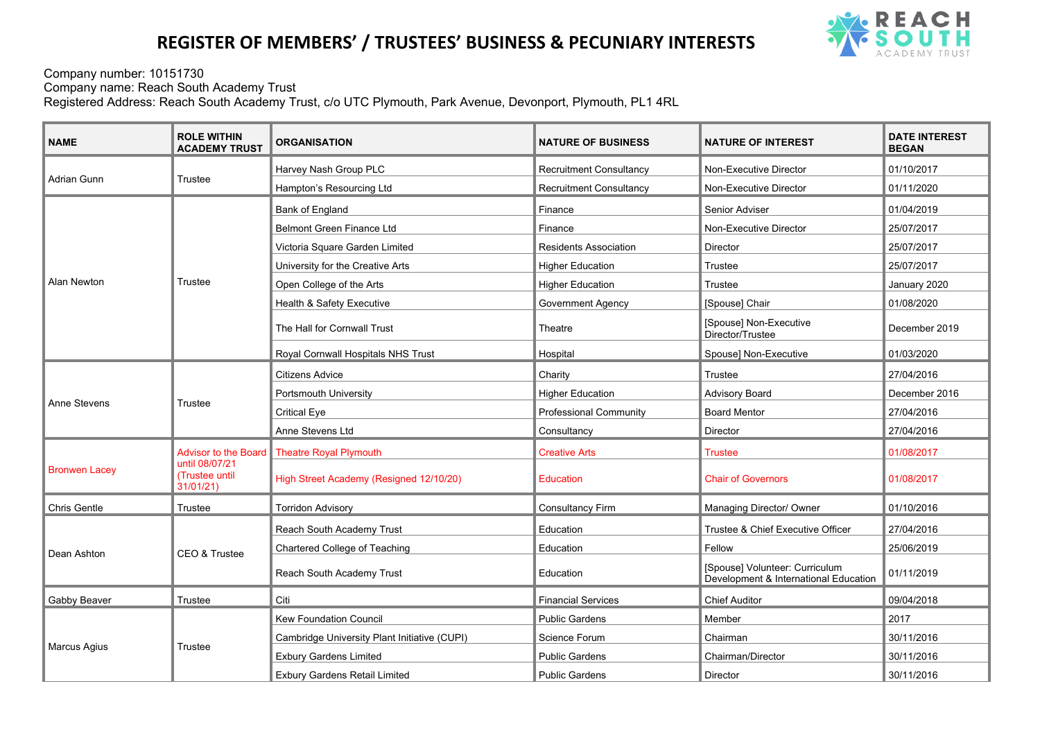## **REGISTER OF MEMBERS' / TRUSTEES' BUSINESS & PECUNIARY INTERESTS**



Company number: 10151730 Company name: Reach South Academy Trust Registered Address: Reach South Academy Trust, c/o UTC Plymouth, Park Avenue, Devonport, Plymouth, PL1 4RL

| <b>NAME</b>          | <b>ROLE WITHIN</b><br><b>ACADEMY TRUST</b>                           | <b>ORGANISATION</b>                          | <b>NATURE OF BUSINESS</b>      | <b>NATURE OF INTEREST</b>                                               | <b>DATE INTEREST</b><br><b>BEGAN</b> |
|----------------------|----------------------------------------------------------------------|----------------------------------------------|--------------------------------|-------------------------------------------------------------------------|--------------------------------------|
| Adrian Gunn          | Trustee                                                              | Harvey Nash Group PLC                        | <b>Recruitment Consultancy</b> | Non-Executive Director                                                  | 01/10/2017                           |
|                      |                                                                      | Hampton's Resourcing Ltd                     | <b>Recruitment Consultancy</b> | Non-Executive Director                                                  | 01/11/2020                           |
| <b>Alan Newton</b>   | Trustee                                                              | Bank of England                              | Finance                        | Senior Adviser                                                          | 01/04/2019                           |
|                      |                                                                      | <b>Belmont Green Finance Ltd</b>             | Finance                        | Non-Executive Director                                                  | 25/07/2017                           |
|                      |                                                                      | Victoria Square Garden Limited               | <b>Residents Association</b>   | Director                                                                | 25/07/2017                           |
|                      |                                                                      | University for the Creative Arts             | <b>Higher Education</b>        | Trustee                                                                 | 25/07/2017                           |
|                      |                                                                      | Open College of the Arts                     | <b>Higher Education</b>        | Trustee                                                                 | January 2020                         |
|                      |                                                                      | Health & Safety Executive                    | <b>Government Agency</b>       | [Spouse] Chair                                                          | 01/08/2020                           |
|                      |                                                                      | The Hall for Cornwall Trust                  | Theatre                        | [Spouse] Non-Executive<br>Director/Trustee                              | December 2019                        |
|                      |                                                                      | Royal Cornwall Hospitals NHS Trust           | Hospital                       | Spouse] Non-Executive                                                   | 01/03/2020                           |
| Anne Stevens         | Trustee                                                              | Citizens Advice                              | Charity                        | Trustee                                                                 | 27/04/2016                           |
|                      |                                                                      | Portsmouth University                        | <b>Higher Education</b>        | <b>Advisory Board</b>                                                   | December 2016                        |
|                      |                                                                      | <b>Critical Eye</b>                          | <b>Professional Community</b>  | <b>Board Mentor</b>                                                     | 27/04/2016                           |
|                      |                                                                      | Anne Stevens Ltd                             | Consultancy                    | Director                                                                | 27/04/2016                           |
| <b>Bronwen Lacey</b> | Advisor to the Board<br>until 08/07/21<br>(Trustee until<br>31/01/21 | <b>Theatre Royal Plymouth</b>                | <b>Creative Arts</b>           | <b>Trustee</b>                                                          | 01/08/2017                           |
|                      |                                                                      | High Street Academy (Resigned 12/10/20)      | <b>Education</b>               | <b>Chair of Governors</b>                                               | 01/08/2017                           |
| <b>Chris Gentle</b>  | Trustee                                                              | <b>Torridon Advisory</b>                     | <b>Consultancy Firm</b>        | Managing Director/ Owner                                                | 01/10/2016                           |
| Dean Ashton          | CEO & Trustee                                                        | Reach South Academy Trust                    | Education                      | Trustee & Chief Executive Officer                                       | 27/04/2016                           |
|                      |                                                                      | <b>Chartered College of Teaching</b>         | Education                      | Fellow                                                                  | 25/06/2019                           |
|                      |                                                                      | Reach South Academy Trust                    | Education                      | [Spouse] Volunteer: Curriculum<br>Development & International Education | 01/11/2019                           |
| Gabby Beaver         | Trustee                                                              | Citi                                         | <b>Financial Services</b>      | <b>Chief Auditor</b>                                                    | 09/04/2018                           |
| Marcus Agius         | Trustee                                                              | <b>Kew Foundation Council</b>                | <b>Public Gardens</b>          | Member                                                                  | 2017                                 |
|                      |                                                                      | Cambridge University Plant Initiative (CUPI) | Science Forum                  | Chairman                                                                | 30/11/2016                           |
|                      |                                                                      | <b>Exbury Gardens Limited</b>                | <b>Public Gardens</b>          | Chairman/Director                                                       | 30/11/2016                           |
|                      |                                                                      | <b>Exbury Gardens Retail Limited</b>         | <b>Public Gardens</b>          | <b>Director</b>                                                         | 30/11/2016                           |